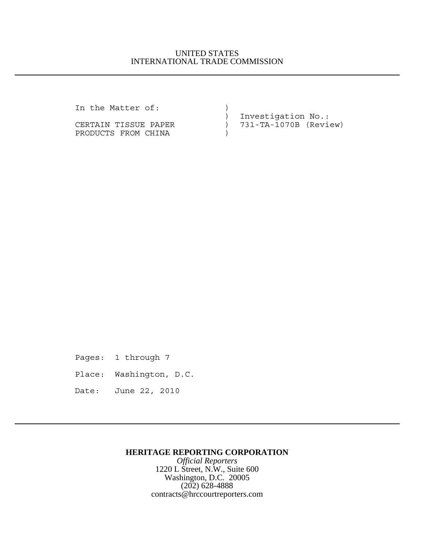## UNITED STATES INTERNATIONAL TRADE COMMISSION

In the Matter of:  $)$ 

PRODUCTS FROM CHINA (1)

 ) Investigation No.: CERTAIN TISSUE PAPER ) 731-TA-1070B (Review)

Pages: 1 through 7

Place: Washington, D.C.

Date: June 22, 2010

## **HERITAGE REPORTING CORPORATION**

*Official Reporters* 1220 L Street, N.W., Suite 600 Washington, D.C. 20005 (202) 628-4888 contracts@hrccourtreporters.com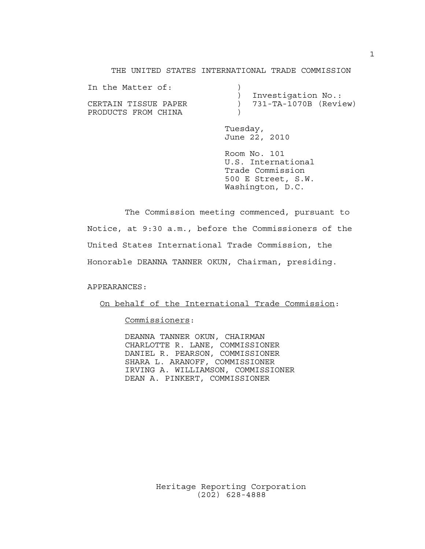THE UNITED STATES INTERNATIONAL TRADE COMMISSION

| In the Matter of:    |                           |
|----------------------|---------------------------|
|                      | Investigation No.:        |
| CERTAIN TISSUE PAPER | $) 731-TA-1070B$ (Review) |
| PRODUCTS FROM CHINA  |                           |

Tuesday, June 22, 2010

Room No. 101 U.S. International Trade Commission 500 E Street, S.W. Washington, D.C.

The Commission meeting commenced, pursuant to Notice, at 9:30 a.m., before the Commissioners of the United States International Trade Commission, the Honorable DEANNA TANNER OKUN, Chairman, presiding.

APPEARANCES:

On behalf of the International Trade Commission:

Commissioners:

DEANNA TANNER OKUN, CHAIRMAN CHARLOTTE R. LANE, COMMISSIONER DANIEL R. PEARSON, COMMISSIONER SHARA L. ARANOFF, COMMISSIONER IRVING A. WILLIAMSON, COMMISSIONER DEAN A. PINKERT, COMMISSIONER

> Heritage Reporting Corporation (202) 628-4888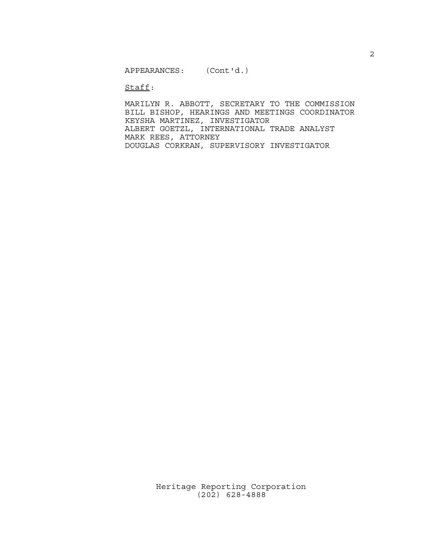Staff:

MARILYN R. ABBOTT, SECRETARY TO THE COMMISSION BILL BISHOP, HEARINGS AND MEETINGS COORDINATOR KEYSHA MARTINEZ, INVESTIGATOR ALBERT GOETZL, INTERNATIONAL TRADE ANALYST MARK REES, ATTORNEY DOUGLAS CORKRAN, SUPERVISORY INVESTIGATOR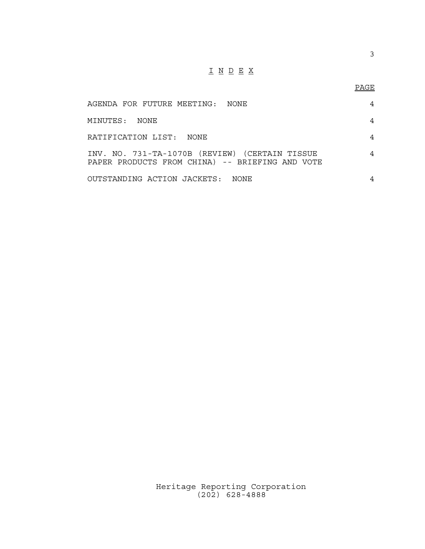## $\underline{\texttt{I}} \underline{\texttt{N}} \underline{\texttt{D}} \underline{\texttt{E}} \underline{\texttt{X}}$

| AGENDA FOR FUTURE MEETING: NONE                                                                   | 4 |
|---------------------------------------------------------------------------------------------------|---|
| MINUTES: NONE                                                                                     | 4 |
| RATIFICATION LIST: NONE                                                                           | 4 |
| INV. NO. 731-TA-1070B (REVIEW) (CERTAIN TISSUE<br>PAPER PRODUCTS FROM CHINA) -- BRIEFING AND VOTE | 4 |
| OUTSTANDING ACTION JACKETS: NONE                                                                  |   |

Heritage Reporting Corporation (202) 628-4888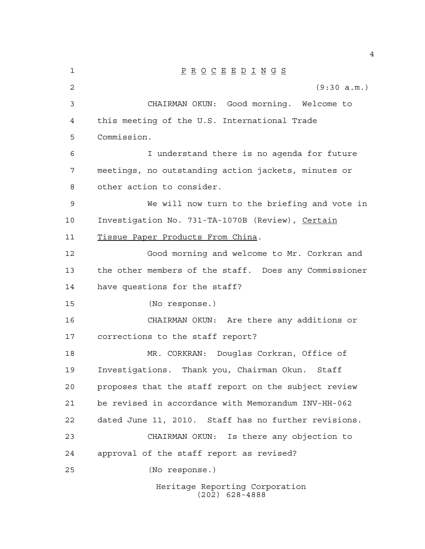| 1  | $\underline{P} \underline{R} \underline{O} \underline{C} \underline{E} \underline{E} \underline{D} \underline{I} \underline{N} \underline{G} \underline{S}$ |
|----|-------------------------------------------------------------------------------------------------------------------------------------------------------------|
| 2  | (9:30 a.m.)                                                                                                                                                 |
| 3  | CHAIRMAN OKUN: Good morning. Welcome to                                                                                                                     |
| 4  | this meeting of the U.S. International Trade                                                                                                                |
| 5  | Commission.                                                                                                                                                 |
| 6  | I understand there is no agenda for future                                                                                                                  |
| 7  | meetings, no outstanding action jackets, minutes or                                                                                                         |
| 8  | other action to consider.                                                                                                                                   |
| 9  | We will now turn to the briefing and vote in                                                                                                                |
| 10 | Investigation No. 731-TA-1070B (Review), Certain                                                                                                            |
| 11 | Tissue Paper Products From China.                                                                                                                           |
| 12 | Good morning and welcome to Mr. Corkran and                                                                                                                 |
| 13 | the other members of the staff. Does any Commissioner                                                                                                       |
| 14 | have questions for the staff?                                                                                                                               |
| 15 | (No response.)                                                                                                                                              |
| 16 | CHAIRMAN OKUN: Are there any additions or                                                                                                                   |
| 17 | corrections to the staff report?                                                                                                                            |
| 18 | MR. CORKRAN: Douglas Corkran, Office of                                                                                                                     |
| 19 | Investigations. Thank you, Chairman Okun.<br>Staff                                                                                                          |
| 20 | proposes that the staff report on the subject review                                                                                                        |
| 21 | be revised in accordance with Memorandum INV-HH-062                                                                                                         |
| 22 | dated June 11, 2010. Staff has no further revisions.                                                                                                        |
| 23 | CHAIRMAN OKUN: Is there any objection to                                                                                                                    |
| 24 | approval of the staff report as revised?                                                                                                                    |
| 25 | (No response.)                                                                                                                                              |
|    | Heritage Reporting Corporation                                                                                                                              |

(202) 628-4888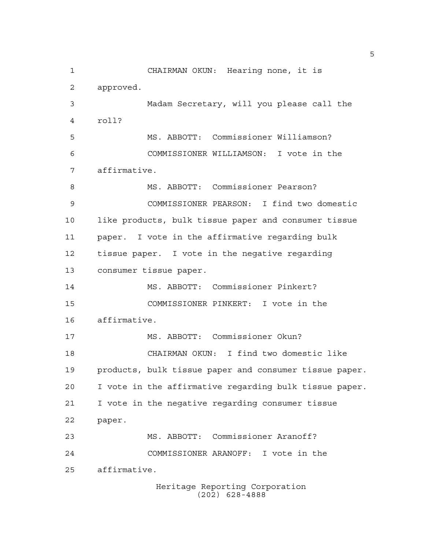CHAIRMAN OKUN: Hearing none, it is approved. Madam Secretary, will you please call the roll? MS. ABBOTT: Commissioner Williamson? COMMISSIONER WILLIAMSON: I vote in the affirmative. 8 MS. ABBOTT: Commissioner Pearson? COMMISSIONER PEARSON: I find two domestic like products, bulk tissue paper and consumer tissue paper. I vote in the affirmative regarding bulk tissue paper. I vote in the negative regarding consumer tissue paper. MS. ABBOTT: Commissioner Pinkert? COMMISSIONER PINKERT: I vote in the affirmative. MS. ABBOTT: Commissioner Okun? CHAIRMAN OKUN: I find two domestic like products, bulk tissue paper and consumer tissue paper. I vote in the affirmative regarding bulk tissue paper. I vote in the negative regarding consumer tissue paper. MS. ABBOTT: Commissioner Aranoff? COMMISSIONER ARANOFF: I vote in the affirmative.

Heritage Reporting Corporation (202) 628-4888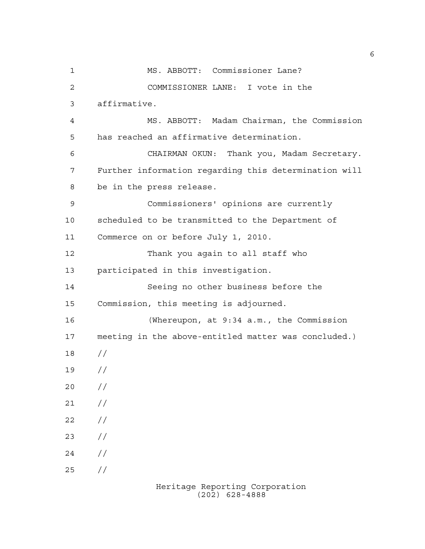MS. ABBOTT: Commissioner Lane? COMMISSIONER LANE: I vote in the affirmative. MS. ABBOTT: Madam Chairman, the Commission has reached an affirmative determination. CHAIRMAN OKUN: Thank you, Madam Secretary. Further information regarding this determination will be in the press release. Commissioners' opinions are currently scheduled to be transmitted to the Department of Commerce on or before July 1, 2010. Thank you again to all staff who participated in this investigation. Seeing no other business before the Commission, this meeting is adjourned. (Whereupon, at 9:34 a.m., the Commission meeting in the above-entitled matter was concluded.) // //  $20 /$  $21 /$  $22 / /$  $23 / /$  $24 /$ //

Heritage Reporting Corporation (202) 628-4888